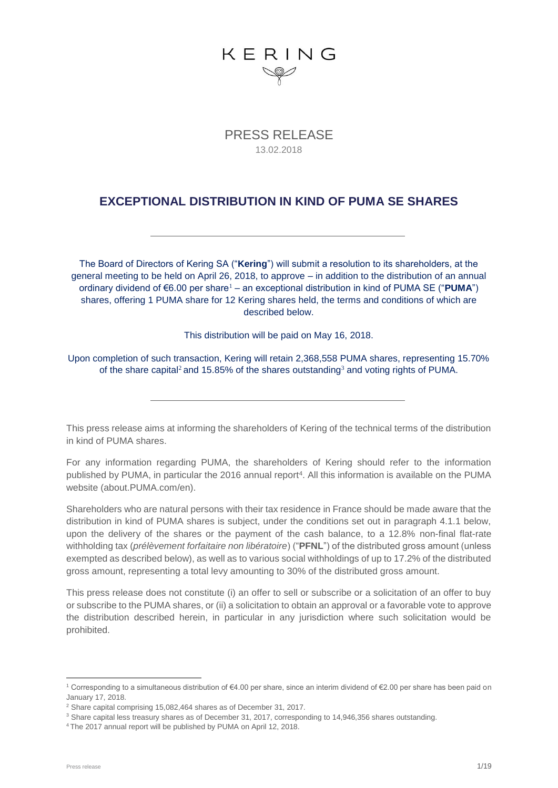

PRESS RELEASE 13.02.2018

#### **EXCEPTIONAL DISTRIBUTION IN KIND OF PUMA SE SHARES**

The Board of Directors of Kering SA ("**Kering**") will submit a resolution to its shareholders, at the general meeting to be held on April 26, 2018, to approve – in addition to the distribution of an annual ordinary dividend of €6.00 per share<sup>1</sup> – an exceptional distribution in kind of PUMA SE ("**PUMA**") shares, offering 1 PUMA share for 12 Kering shares held, the terms and conditions of which are described below.

This distribution will be paid on May 16, 2018.

Upon completion of such transaction, Kering will retain 2,368,558 PUMA shares, representing 15.70% of the share capital<sup>2</sup> and 15.85% of the shares outstanding<sup>3</sup> and voting rights of PUMA.

This press release aims at informing the shareholders of Kering of the technical terms of the distribution in kind of PUMA shares.

For any information regarding PUMA, the shareholders of Kering should refer to the information published by PUMA, in particular the 2016 annual report<sup>4</sup>. All this information is available on the PUMA website (about.PUMA.com/en).

Shareholders who are natural persons with their tax residence in France should be made aware that the distribution in kind of PUMA shares is subject, under the conditions set out in paragraph 4.1.1 below, upon the delivery of the shares or the payment of the cash balance, to a 12.8% non-final flat-rate withholding tax (*prélèvement forfaitaire non libératoire*) ("**PFNL**") of the distributed gross amount (unless exempted as described below), as well as to various social withholdings of up to 17.2% of the distributed gross amount, representing a total levy amounting to 30% of the distributed gross amount.

This press release does not constitute (i) an offer to sell or subscribe or a solicitation of an offer to buy or subscribe to the PUMA shares, or (ii) a solicitation to obtain an approval or a favorable vote to approve the distribution described herein, in particular in any jurisdiction where such solicitation would be prohibited.

1

<sup>1</sup> Corresponding to a simultaneous distribution of €4.00 per share, since an interim dividend of €2.00 per share has been paid on January 17, 2018.

<sup>2</sup> Share capital comprising 15,082,464 shares as of December 31, 2017.

<sup>&</sup>lt;sup>3</sup> Share capital less treasury shares as of December 31, 2017, corresponding to 14,946,356 shares outstanding.

<sup>4</sup> The 2017 annual report will be published by PUMA on April 12, 2018.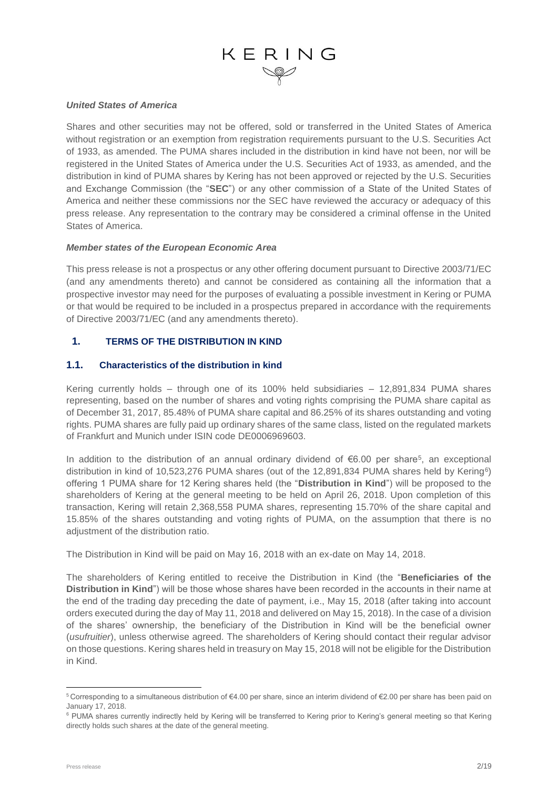#### *United States of America*

Shares and other securities may not be offered, sold or transferred in the United States of America without registration or an exemption from registration requirements pursuant to the U.S. Securities Act of 1933, as amended. The PUMA shares included in the distribution in kind have not been, nor will be registered in the United States of America under the U.S. Securities Act of 1933, as amended, and the distribution in kind of PUMA shares by Kering has not been approved or rejected by the U.S. Securities and Exchange Commission (the "**SEC**") or any other commission of a State of the United States of America and neither these commissions nor the SEC have reviewed the accuracy or adequacy of this press release. Any representation to the contrary may be considered a criminal offense in the United States of America.

#### *Member states of the European Economic Area*

This press release is not a prospectus or any other offering document pursuant to Directive 2003/71/EC (and any amendments thereto) and cannot be considered as containing all the information that a prospective investor may need for the purposes of evaluating a possible investment in Kering or PUMA or that would be required to be included in a prospectus prepared in accordance with the requirements of Directive 2003/71/EC (and any amendments thereto).

#### **1. TERMS OF THE DISTRIBUTION IN KIND**

#### **1.1. Characteristics of the distribution in kind**

Kering currently holds – through one of its 100% held subsidiaries – 12,891,834 PUMA shares representing, based on the number of shares and voting rights comprising the PUMA share capital as of December 31, 2017, 85.48% of PUMA share capital and 86.25% of its shares outstanding and voting rights. PUMA shares are fully paid up ordinary shares of the same class, listed on the regulated markets of Frankfurt and Munich under ISIN code DE0006969603.

In addition to the distribution of an annual ordinary dividend of  $6.00$  per share<sup>5</sup>, an exceptional distribution in kind of 10,523,276 PUMA shares (out of the 12,891,834 PUMA shares held by Kering<sup>6</sup>) offering 1 PUMA share for 12 Kering shares held (the "**Distribution in Kind**") will be proposed to the shareholders of Kering at the general meeting to be held on April 26, 2018. Upon completion of this transaction, Kering will retain 2,368,558 PUMA shares, representing 15.70% of the share capital and 15.85% of the shares outstanding and voting rights of PUMA, on the assumption that there is no adjustment of the distribution ratio.

The Distribution in Kind will be paid on May 16, 2018 with an ex-date on May 14, 2018.

The shareholders of Kering entitled to receive the Distribution in Kind (the "**Beneficiaries of the Distribution in Kind**") will be those whose shares have been recorded in the accounts in their name at the end of the trading day preceding the date of payment, i.e., May 15, 2018 (after taking into account orders executed during the day of May 11, 2018 and delivered on May 15, 2018). In the case of a division of the shares' ownership, the beneficiary of the Distribution in Kind will be the beneficial owner (*usufruitier*), unless otherwise agreed. The shareholders of Kering should contact their regular advisor on those questions. Kering shares held in treasury on May 15, 2018 will not be eligible for the Distribution in Kind.

1

<sup>5</sup> Corresponding to a simultaneous distribution of €4.00 per share, since an interim dividend of €2.00 per share has been paid on January 17, 2018.

<sup>&</sup>lt;sup>6</sup> PUMA shares currently indirectly held by Kering will be transferred to Kering prior to Kering's general meeting so that Kering directly holds such shares at the date of the general meeting.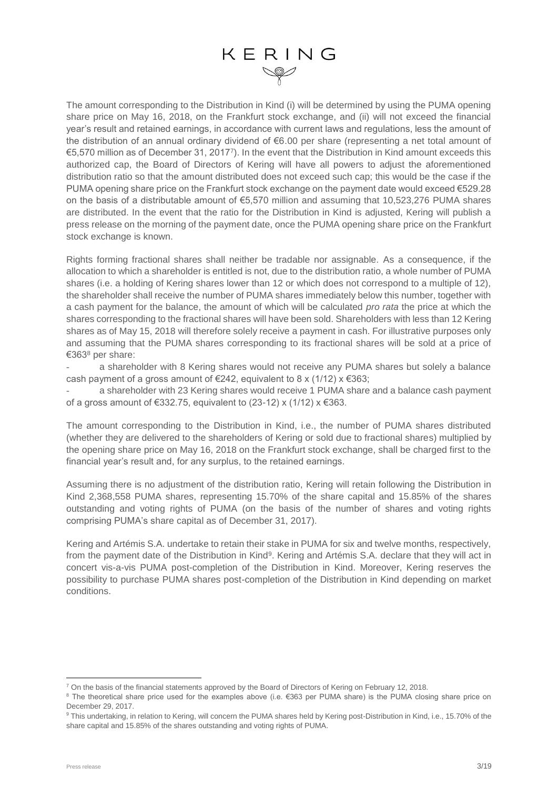The amount corresponding to the Distribution in Kind (i) will be determined by using the PUMA opening share price on May 16, 2018, on the Frankfurt stock exchange, and (ii) will not exceed the financial year's result and retained earnings, in accordance with current laws and regulations, less the amount of the distribution of an annual ordinary dividend of €6.00 per share (representing a net total amount of €5,570 million as of December 31, 2017<sup>7</sup> ). In the event that the Distribution in Kind amount exceeds this authorized cap, the Board of Directors of Kering will have all powers to adjust the aforementioned distribution ratio so that the amount distributed does not exceed such cap; this would be the case if the PUMA opening share price on the Frankfurt stock exchange on the payment date would exceed €529.28 on the basis of a distributable amount of €5,570 million and assuming that 10,523,276 PUMA shares are distributed. In the event that the ratio for the Distribution in Kind is adjusted, Kering will publish a press release on the morning of the payment date, once the PUMA opening share price on the Frankfurt stock exchange is known.

Rights forming fractional shares shall neither be tradable nor assignable. As a consequence, if the allocation to which a shareholder is entitled is not, due to the distribution ratio, a whole number of PUMA shares (i.e. a holding of Kering shares lower than 12 or which does not correspond to a multiple of 12), the shareholder shall receive the number of PUMA shares immediately below this number, together with a cash payment for the balance, the amount of which will be calculated *pro rata* the price at which the shares corresponding to the fractional shares will have been sold. Shareholders with less than 12 Kering shares as of May 15, 2018 will therefore solely receive a payment in cash. For illustrative purposes only and assuming that the PUMA shares corresponding to its fractional shares will be sold at a price of €363<sup>8</sup> per share:

a shareholder with 8 Kering shares would not receive any PUMA shares but solely a balance cash payment of a gross amount of  $\epsilon$ 242, equivalent to 8 x (1/12) x  $\epsilon$ 363;

a shareholder with 23 Kering shares would receive 1 PUMA share and a balance cash payment of a gross amount of €332.75, equivalent to (23-12) x (1/12)  $x \in 363$ .

The amount corresponding to the Distribution in Kind, i.e., the number of PUMA shares distributed (whether they are delivered to the shareholders of Kering or sold due to fractional shares) multiplied by the opening share price on May 16, 2018 on the Frankfurt stock exchange, shall be charged first to the financial year's result and, for any surplus, to the retained earnings.

Assuming there is no adjustment of the distribution ratio, Kering will retain following the Distribution in Kind 2,368,558 PUMA shares, representing 15.70% of the share capital and 15.85% of the shares outstanding and voting rights of PUMA (on the basis of the number of shares and voting rights comprising PUMA's share capital as of December 31, 2017).

Kering and Artémis S.A. undertake to retain their stake in PUMA for six and twelve months, respectively, from the payment date of the Distribution in Kind<sup>9</sup>. Kering and Artémis S.A. declare that they will act in concert vis-a-vis PUMA post-completion of the Distribution in Kind. Moreover, Kering reserves the possibility to purchase PUMA shares post-completion of the Distribution in Kind depending on market conditions.

<sup>1</sup> <sup>7</sup> On the basis of the financial statements approved by the Board of Directors of Kering on February 12, 2018.

<sup>8</sup> The theoretical share price used for the examples above (i.e. €363 per PUMA share) is the PUMA closing share price on December 29, 2017.

<sup>9</sup> This undertaking, in relation to Kering, will concern the PUMA shares held by Kering post-Distribution in Kind, i.e., 15.70% of the share capital and 15.85% of the shares outstanding and voting rights of PUMA.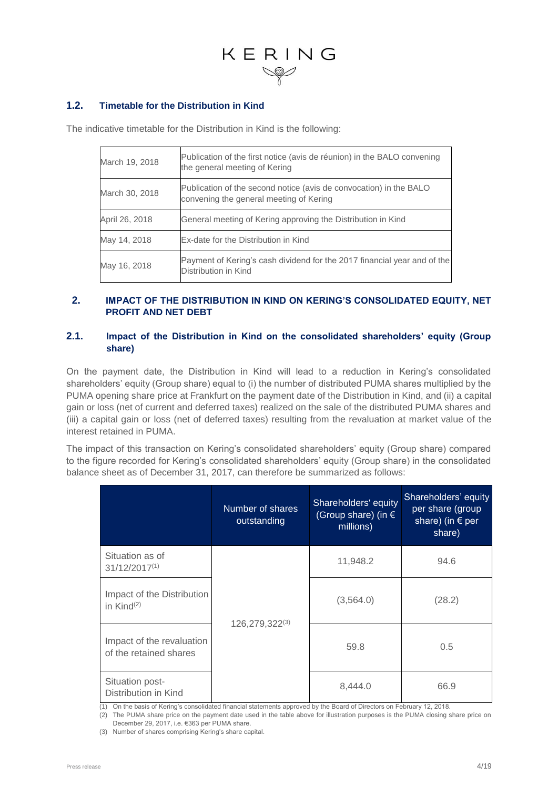#### **1.2. Timetable for the Distribution in Kind**

The indicative timetable for the Distribution in Kind is the following:

| March 19, 2018 | Publication of the first notice (avis de réunion) in the BALO convening<br>the general meeting of Kering      |
|----------------|---------------------------------------------------------------------------------------------------------------|
| March 30, 2018 | Publication of the second notice (avis de convocation) in the BALO<br>convening the general meeting of Kering |
| April 26, 2018 | General meeting of Kering approving the Distribution in Kind                                                  |
| May 14, 2018   | Ex-date for the Distribution in Kind                                                                          |
| May 16, 2018   | Payment of Kering's cash dividend for the 2017 financial year and of the<br>Distribution in Kind              |

#### **2. IMPACT OF THE DISTRIBUTION IN KIND ON KERING'S CONSOLIDATED EQUITY, NET PROFIT AND NET DEBT**

#### **2.1. Impact of the Distribution in Kind on the consolidated shareholders' equity (Group share)**

On the payment date, the Distribution in Kind will lead to a reduction in Kering's consolidated shareholders' equity (Group share) equal to (i) the number of distributed PUMA shares multiplied by the PUMA opening share price at Frankfurt on the payment date of the Distribution in Kind, and (ii) a capital gain or loss (net of current and deferred taxes) realized on the sale of the distributed PUMA shares and (iii) a capital gain or loss (net of deferred taxes) resulting from the revaluation at market value of the interest retained in PUMA.

The impact of this transaction on Kering's consolidated shareholders' equity (Group share) compared to the figure recorded for Kering's consolidated shareholders' equity (Group share) in the consolidated balance sheet as of December 31, 2017, can therefore be summarized as follows:

|                                                     | Number of shares<br>outstanding | Shareholders' equity<br>(Group share) (in $\epsilon$<br>millions) | Shareholders' equity<br>per share (group<br>share) (in $\epsilon$ per<br>share) |
|-----------------------------------------------------|---------------------------------|-------------------------------------------------------------------|---------------------------------------------------------------------------------|
| Situation as of<br>$31/12/2017^{(1)}$               |                                 | 11,948.2                                                          | 94.6                                                                            |
| Impact of the Distribution<br>in Kind $(2)$         |                                 | (3,564.0)                                                         | (28.2)                                                                          |
| Impact of the revaluation<br>of the retained shares | $126,279,322^{(3)}$             | 59.8                                                              | 0.5                                                                             |
| Situation post-<br>Distribution in Kind             |                                 | 8,444.0                                                           | 66.9                                                                            |

(1) On the basis of Kering's consolidated financial statements approved by the Board of Directors on February 12, 2018.

(2) The PUMA share price on the payment date used in the table above for illustration purposes is the PUMA closing share price on December 29, 2017, i.e. €363 per PUMA share.

(3) Number of shares comprising Kering's share capital.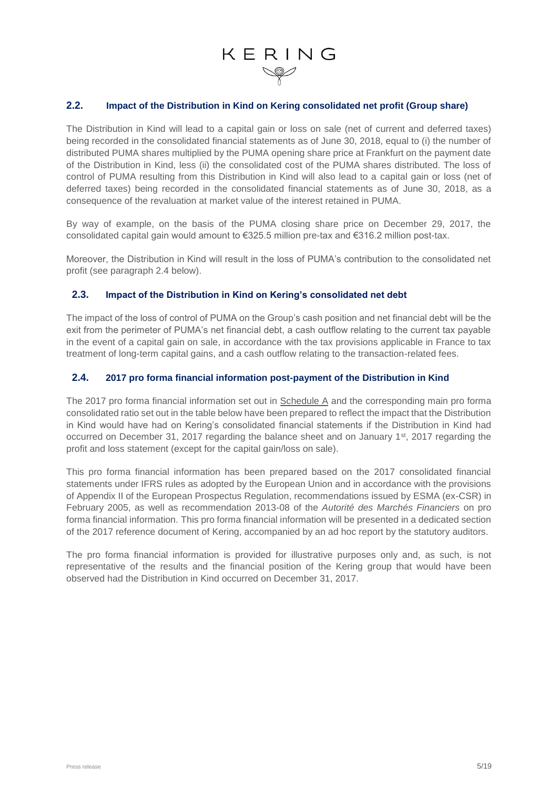#### **2.2. Impact of the Distribution in Kind on Kering consolidated net profit (Group share)**

The Distribution in Kind will lead to a capital gain or loss on sale (net of current and deferred taxes) being recorded in the consolidated financial statements as of June 30, 2018, equal to (i) the number of distributed PUMA shares multiplied by the PUMA opening share price at Frankfurt on the payment date of the Distribution in Kind, less (ii) the consolidated cost of the PUMA shares distributed. The loss of control of PUMA resulting from this Distribution in Kind will also lead to a capital gain or loss (net of deferred taxes) being recorded in the consolidated financial statements as of June 30, 2018, as a consequence of the revaluation at market value of the interest retained in PUMA.

By way of example, on the basis of the PUMA closing share price on December 29, 2017, the consolidated capital gain would amount to €325.5 million pre-tax and €316.2 million post-tax.

Moreover, the Distribution in Kind will result in the loss of PUMA's contribution to the consolidated net profit (see paragraph 2.4 below).

#### **2.3. Impact of the Distribution in Kind on Kering's consolidated net debt**

The impact of the loss of control of PUMA on the Group's cash position and net financial debt will be the exit from the perimeter of PUMA's net financial debt, a cash outflow relating to the current tax payable in the event of a capital gain on sale, in accordance with the tax provisions applicable in France to tax treatment of long-term capital gains, and a cash outflow relating to the transaction-related fees.

#### **2.4. 2017 pro forma financial information post-payment of the Distribution in Kind**

The 2017 pro forma financial information set out in Schedule A and the corresponding main pro forma consolidated ratio set out in the table below have been prepared to reflect the impact that the Distribution in Kind would have had on Kering's consolidated financial statements if the Distribution in Kind had occurred on December 31, 2017 regarding the balance sheet and on January 1st, 2017 regarding the profit and loss statement (except for the capital gain/loss on sale).

This pro forma financial information has been prepared based on the 2017 consolidated financial statements under IFRS rules as adopted by the European Union and in accordance with the provisions of Appendix II of the European Prospectus Regulation, recommendations issued by ESMA (ex-CSR) in February 2005, as well as recommendation 2013-08 of the *Autorité des Marchés Financiers* on pro forma financial information. This pro forma financial information will be presented in a dedicated section of the 2017 reference document of Kering, accompanied by an ad hoc report by the statutory auditors.

The pro forma financial information is provided for illustrative purposes only and, as such, is not representative of the results and the financial position of the Kering group that would have been observed had the Distribution in Kind occurred on December 31, 2017.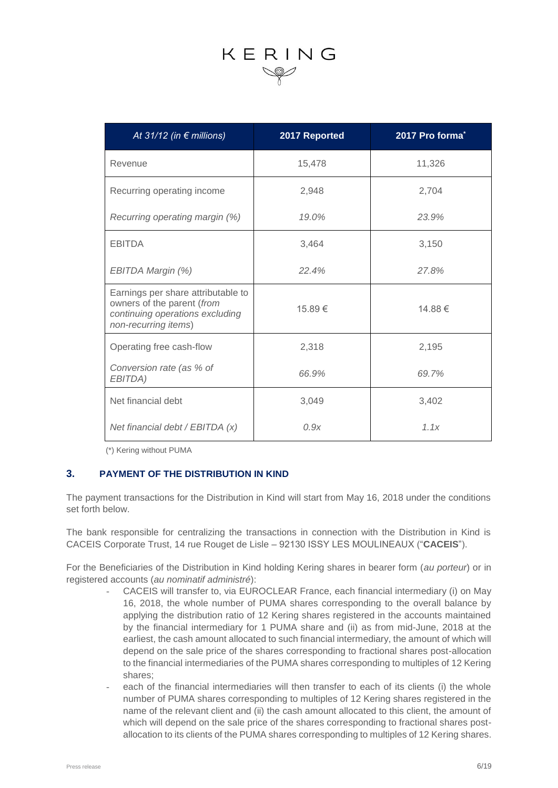| At 31/12 (in $\epsilon$ millions)                                                                                           | 2017 Reported | 2017 Pro forma <sup>*</sup> |
|-----------------------------------------------------------------------------------------------------------------------------|---------------|-----------------------------|
| Revenue                                                                                                                     | 15,478        | 11,326                      |
| Recurring operating income                                                                                                  | 2,948         | 2,704                       |
| Recurring operating margin (%)                                                                                              | 19.0%         | 23.9%                       |
| <b>EBITDA</b>                                                                                                               | 3,464         | 3,150                       |
| EBITDA Margin (%)                                                                                                           | 22.4%         | 27.8%                       |
| Earnings per share attributable to<br>owners of the parent (from<br>continuing operations excluding<br>non-recurring items) | 15.89€        | 14.88€                      |
| Operating free cash-flow                                                                                                    | 2,318         | 2,195                       |
| Conversion rate (as % of<br>EBITDA)                                                                                         | 66.9%         | 69.7%                       |
| Net financial debt                                                                                                          | 3,049         | 3,402                       |
| Net financial debt / EBITDA (x)                                                                                             | 0.9x          | 1.1x                        |

(\*) Kering without PUMA

#### **3. PAYMENT OF THE DISTRIBUTION IN KIND**

The payment transactions for the Distribution in Kind will start from May 16, 2018 under the conditions set forth below.

The bank responsible for centralizing the transactions in connection with the Distribution in Kind is CACEIS Corporate Trust, 14 rue Rouget de Lisle – 92130 ISSY LES MOULINEAUX ("**CACEIS**").

For the Beneficiaries of the Distribution in Kind holding Kering shares in bearer form (*au porteur*) or in registered accounts (*au nominatif administré*):

- CACEIS will transfer to, via EUROCLEAR France, each financial intermediary (i) on May 16, 2018, the whole number of PUMA shares corresponding to the overall balance by applying the distribution ratio of 12 Kering shares registered in the accounts maintained by the financial intermediary for 1 PUMA share and (ii) as from mid-June, 2018 at the earliest, the cash amount allocated to such financial intermediary, the amount of which will depend on the sale price of the shares corresponding to fractional shares post-allocation to the financial intermediaries of the PUMA shares corresponding to multiples of 12 Kering shares;
- each of the financial intermediaries will then transfer to each of its clients (i) the whole number of PUMA shares corresponding to multiples of 12 Kering shares registered in the name of the relevant client and (ii) the cash amount allocated to this client, the amount of which will depend on the sale price of the shares corresponding to fractional shares postallocation to its clients of the PUMA shares corresponding to multiples of 12 Kering shares.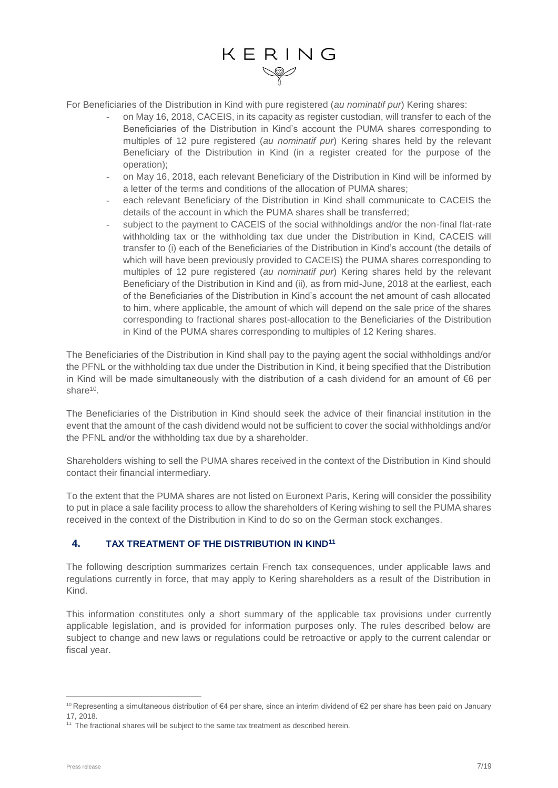For Beneficiaries of the Distribution in Kind with pure registered (*au nominatif pur*) Kering shares:

- on May 16, 2018, CACEIS, in its capacity as register custodian, will transfer to each of the Beneficiaries of the Distribution in Kind's account the PUMA shares corresponding to multiples of 12 pure registered (*au nominatif pur*) Kering shares held by the relevant Beneficiary of the Distribution in Kind (in a register created for the purpose of the operation);
- on May 16, 2018, each relevant Beneficiary of the Distribution in Kind will be informed by a letter of the terms and conditions of the allocation of PUMA shares;
- each relevant Beneficiary of the Distribution in Kind shall communicate to CACEIS the details of the account in which the PUMA shares shall be transferred;
- subject to the payment to CACEIS of the social withholdings and/or the non-final flat-rate withholding tax or the withholding tax due under the Distribution in Kind, CACEIS will transfer to (i) each of the Beneficiaries of the Distribution in Kind's account (the details of which will have been previously provided to CACEIS) the PUMA shares corresponding to multiples of 12 pure registered (*au nominatif pur*) Kering shares held by the relevant Beneficiary of the Distribution in Kind and (ii), as from mid-June, 2018 at the earliest, each of the Beneficiaries of the Distribution in Kind's account the net amount of cash allocated to him, where applicable, the amount of which will depend on the sale price of the shares corresponding to fractional shares post-allocation to the Beneficiaries of the Distribution in Kind of the PUMA shares corresponding to multiples of 12 Kering shares.

The Beneficiaries of the Distribution in Kind shall pay to the paying agent the social withholdings and/or the PFNL or the withholding tax due under the Distribution in Kind, it being specified that the Distribution in Kind will be made simultaneously with the distribution of a cash dividend for an amount of €6 per share<sup>10</sup>.

The Beneficiaries of the Distribution in Kind should seek the advice of their financial institution in the event that the amount of the cash dividend would not be sufficient to cover the social withholdings and/or the PFNL and/or the withholding tax due by a shareholder.

Shareholders wishing to sell the PUMA shares received in the context of the Distribution in Kind should contact their financial intermediary.

To the extent that the PUMA shares are not listed on Euronext Paris, Kering will consider the possibility to put in place a sale facility process to allow the shareholders of Kering wishing to sell the PUMA shares received in the context of the Distribution in Kind to do so on the German stock exchanges.

#### **4. TAX TREATMENT OF THE DISTRIBUTION IN KIND<sup>11</sup>**

The following description summarizes certain French tax consequences, under applicable laws and regulations currently in force, that may apply to Kering shareholders as a result of the Distribution in Kind.

This information constitutes only a short summary of the applicable tax provisions under currently applicable legislation, and is provided for information purposes only. The rules described below are subject to change and new laws or regulations could be retroactive or apply to the current calendar or fiscal year.

1

<sup>10</sup> Representing a simultaneous distribution of €4 per share, since an interim dividend of €2 per share has been paid on January 17, 2018.

 $11$  The fractional shares will be subject to the same tax treatment as described herein.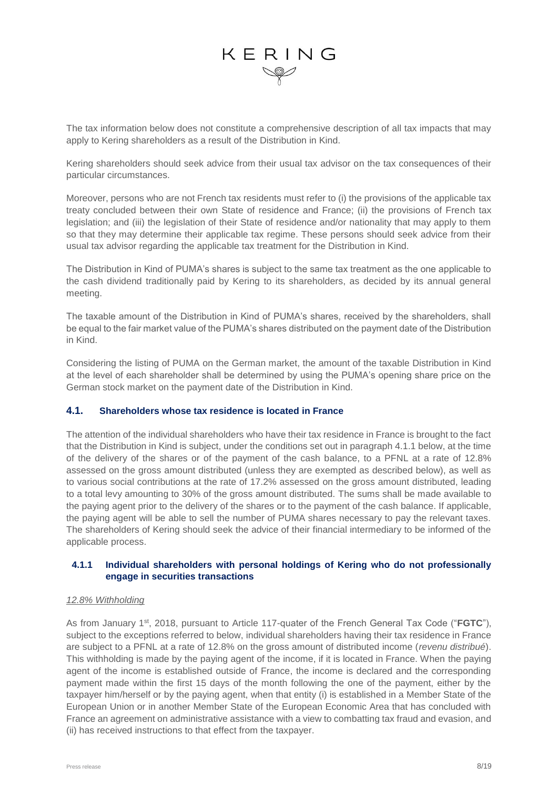The tax information below does not constitute a comprehensive description of all tax impacts that may apply to Kering shareholders as a result of the Distribution in Kind.

Kering shareholders should seek advice from their usual tax advisor on the tax consequences of their particular circumstances.

Moreover, persons who are not French tax residents must refer to (i) the provisions of the applicable tax treaty concluded between their own State of residence and France; (ii) the provisions of French tax legislation; and (iii) the legislation of their State of residence and/or nationality that may apply to them so that they may determine their applicable tax regime. These persons should seek advice from their usual tax advisor regarding the applicable tax treatment for the Distribution in Kind.

The Distribution in Kind of PUMA's shares is subject to the same tax treatment as the one applicable to the cash dividend traditionally paid by Kering to its shareholders, as decided by its annual general meeting.

The taxable amount of the Distribution in Kind of PUMA's shares, received by the shareholders, shall be equal to the fair market value of the PUMA's shares distributed on the payment date of the Distribution in Kind.

Considering the listing of PUMA on the German market, the amount of the taxable Distribution in Kind at the level of each shareholder shall be determined by using the PUMA's opening share price on the German stock market on the payment date of the Distribution in Kind.

#### **4.1. Shareholders whose tax residence is located in France**

The attention of the individual shareholders who have their tax residence in France is brought to the fact that the Distribution in Kind is subject, under the conditions set out in paragraph 4.1.1 below, at the time of the delivery of the shares or of the payment of the cash balance, to a PFNL at a rate of 12.8% assessed on the gross amount distributed (unless they are exempted as described below), as well as to various social contributions at the rate of 17.2% assessed on the gross amount distributed, leading to a total levy amounting to 30% of the gross amount distributed. The sums shall be made available to the paying agent prior to the delivery of the shares or to the payment of the cash balance. If applicable, the paying agent will be able to sell the number of PUMA shares necessary to pay the relevant taxes. The shareholders of Kering should seek the advice of their financial intermediary to be informed of the applicable process.

#### **4.1.1 Individual shareholders with personal holdings of Kering who do not professionally engage in securities transactions**

#### *12.8% Withholding*

As from January 1st, 2018, pursuant to Article 117-quater of the French General Tax Code ("**FGTC**"), subject to the exceptions referred to below, individual shareholders having their tax residence in France are subject to a PFNL at a rate of 12.8% on the gross amount of distributed income (*revenu distribué*). This withholding is made by the paying agent of the income, if it is located in France. When the paying agent of the income is established outside of France, the income is declared and the corresponding payment made within the first 15 days of the month following the one of the payment, either by the taxpayer him/herself or by the paying agent, when that entity (i) is established in a Member State of the European Union or in another Member State of the European Economic Area that has concluded with France an agreement on administrative assistance with a view to combatting tax fraud and evasion, and (ii) has received instructions to that effect from the taxpayer.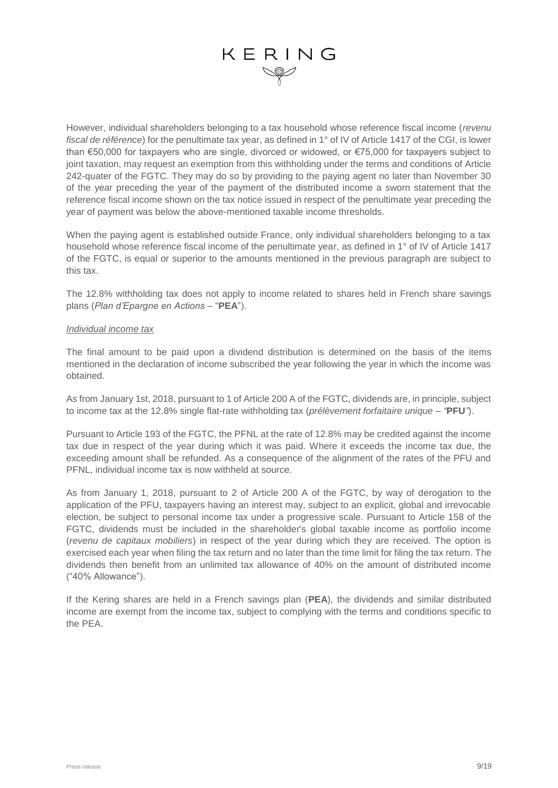However, individual shareholders belonging to a tax household whose reference fiscal income (*revenu fiscal de référence*) for the penultimate tax year, as defined in 1° of IV of Article 1417 of the CGI, is lower than €50,000 for taxpayers who are single, divorced or widowed, or €75,000 for taxpayers subject to joint taxation, may request an exemption from this withholding under the terms and conditions of Article 242-quater of the FGTC. They may do so by providing to the paying agent no later than November 30 of the year preceding the year of the payment of the distributed income a sworn statement that the reference fiscal income shown on the tax notice issued in respect of the penultimate year preceding the year of payment was below the above-mentioned taxable income thresholds.

When the paying agent is established outside France, only individual shareholders belonging to a tax household whose reference fiscal income of the penultimate year, as defined in 1° of IV of Article 1417 of the FGTC, is equal or superior to the amounts mentioned in the previous paragraph are subject to this tax.

The 12.8% withholding tax does not apply to income related to shares held in French share savings plans (*Plan d'Epargne en Actions –* "**PEA**").

#### *Individual income tax*

The final amount to be paid upon a dividend distribution is determined on the basis of the items mentioned in the declaration of income subscribed the year following the year in which the income was obtained.

As from January 1st, 2018, pursuant to 1 of Article 200 A of the FGTC, dividends are, in principle, subject to income tax at the 12.8% single flat-rate withholding tax (*prélèvement forfaitaire unique – "***PFU***"*).

Pursuant to Article 193 of the FGTC, the PFNL at the rate of 12.8% may be credited against the income tax due in respect of the year during which it was paid. Where it exceeds the income tax due, the exceeding amount shall be refunded. As a consequence of the alignment of the rates of the PFU and PFNL, individual income tax is now withheld at source.

As from January 1, 2018, pursuant to 2 of Article 200 A of the FGTC, by way of derogation to the application of the PFU, taxpayers having an interest may, subject to an explicit, global and irrevocable election, be subject to personal income tax under a progressive scale. Pursuant to Article 158 of the FGTC, dividends must be included in the shareholder's global taxable income as portfolio income (*revenu de capitaux mobiliers*) in respect of the year during which they are received. The option is exercised each year when filing the tax return and no later than the time limit for filing the tax return. The dividends then benefit from an unlimited tax allowance of 40% on the amount of distributed income ("40% Allowance").

If the Kering shares are held in a French savings plan (**PEA**), the dividends and similar distributed income are exempt from the income tax, subject to complying with the terms and conditions specific to the PEA.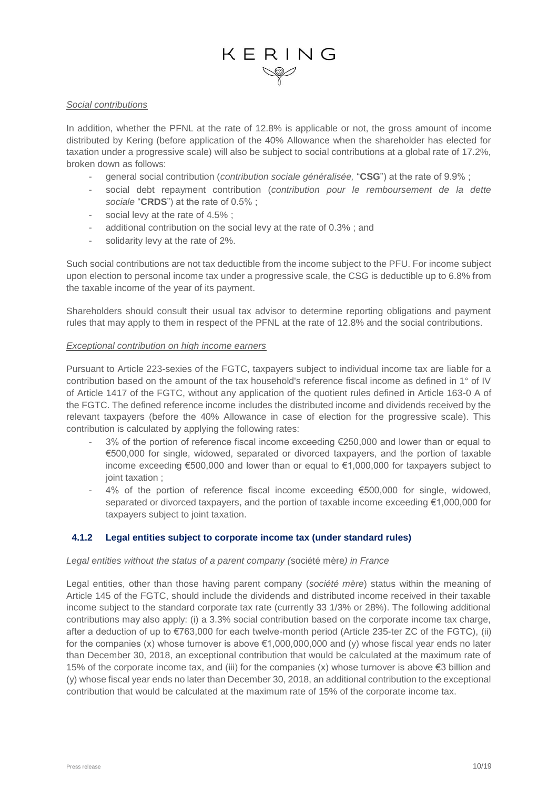#### *Social contributions*

In addition, whether the PFNL at the rate of 12.8% is applicable or not, the gross amount of income distributed by Kering (before application of the 40% Allowance when the shareholder has elected for taxation under a progressive scale) will also be subject to social contributions at a global rate of 17.2%, broken down as follows:

- general social contribution (*contribution sociale généralisée,* "**CSG**") at the rate of 9.9% ;
- social debt repayment contribution (*contribution pour le remboursement de la dette sociale* "**CRDS**") at the rate of 0.5% ;
- social levy at the rate of 4.5%;
- additional contribution on the social levy at the rate of 0.3% ; and
- solidarity levy at the rate of 2%.

Such social contributions are not tax deductible from the income subject to the PFU. For income subject upon election to personal income tax under a progressive scale, the CSG is deductible up to 6.8% from the taxable income of the year of its payment.

Shareholders should consult their usual tax advisor to determine reporting obligations and payment rules that may apply to them in respect of the PFNL at the rate of 12.8% and the social contributions.

#### *Exceptional contribution on high income earners*

Pursuant to Article 223-sexies of the FGTC, taxpayers subject to individual income tax are liable for a contribution based on the amount of the tax household's reference fiscal income as defined in 1° of IV of Article 1417 of the FGTC, without any application of the quotient rules defined in Article 163-0 A of the FGTC. The defined reference income includes the distributed income and dividends received by the relevant taxpayers (before the 40% Allowance in case of election for the progressive scale). This contribution is calculated by applying the following rates:

- 3% of the portion of reference fiscal income exceeding €250,000 and lower than or equal to €500,000 for single, widowed, separated or divorced taxpayers, and the portion of taxable income exceeding €500,000 and lower than or equal to €1,000,000 for taxpayers subject to joint taxation ;
- $4\%$  of the portion of reference fiscal income exceeding  $€500,000$  for single, widowed, separated or divorced taxpayers, and the portion of taxable income exceeding €1,000,000 for taxpayers subject to joint taxation.

#### **4.1.2 Legal entities subject to corporate income tax (under standard rules)**

#### *Legal entities without the status of a parent company (*société mère*) in France*

Legal entities, other than those having parent company (*société mère*) status within the meaning of Article 145 of the FGTC, should include the dividends and distributed income received in their taxable income subject to the standard corporate tax rate (currently 33 1/3% or 28%). The following additional contributions may also apply: (i) a 3.3% social contribution based on the corporate income tax charge, after a deduction of up to €763,000 for each twelve-month period (Article 235-ter ZC of the FGTC), (ii) for the companies (x) whose turnover is above  $\epsilon$ 1,000,000,000 and (y) whose fiscal year ends no later than December 30, 2018, an exceptional contribution that would be calculated at the maximum rate of 15% of the corporate income tax, and (iii) for the companies  $(x)$  whose turnover is above €3 billion and (y) whose fiscal year ends no later than December 30, 2018, an additional contribution to the exceptional contribution that would be calculated at the maximum rate of 15% of the corporate income tax.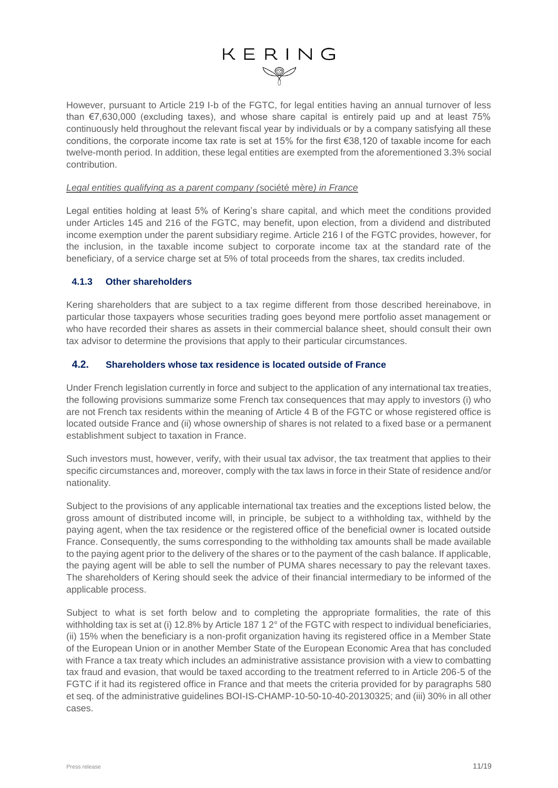However, pursuant to Article 219 I-b of the FGTC, for legal entities having an annual turnover of less than €7,630,000 (excluding taxes), and whose share capital is entirely paid up and at least 75% continuously held throughout the relevant fiscal year by individuals or by a company satisfying all these conditions, the corporate income tax rate is set at 15% for the first €38,120 of taxable income for each twelve-month period. In addition, these legal entities are exempted from the aforementioned 3.3% social contribution.

#### *Legal entities qualifying as a parent company (*société mère*) in France*

Legal entities holding at least 5% of Kering's share capital, and which meet the conditions provided under Articles 145 and 216 of the FGTC, may benefit, upon election, from a dividend and distributed income exemption under the parent subsidiary regime. Article 216 I of the FGTC provides, however, for the inclusion, in the taxable income subject to corporate income tax at the standard rate of the beneficiary, of a service charge set at 5% of total proceeds from the shares, tax credits included.

#### **4.1.3 Other shareholders**

Kering shareholders that are subject to a tax regime different from those described hereinabove, in particular those taxpayers whose securities trading goes beyond mere portfolio asset management or who have recorded their shares as assets in their commercial balance sheet, should consult their own tax advisor to determine the provisions that apply to their particular circumstances.

#### **4.2. Shareholders whose tax residence is located outside of France**

Under French legislation currently in force and subject to the application of any international tax treaties, the following provisions summarize some French tax consequences that may apply to investors (i) who are not French tax residents within the meaning of Article 4 B of the FGTC or whose registered office is located outside France and (ii) whose ownership of shares is not related to a fixed base or a permanent establishment subject to taxation in France.

Such investors must, however, verify, with their usual tax advisor, the tax treatment that applies to their specific circumstances and, moreover, comply with the tax laws in force in their State of residence and/or nationality.

Subject to the provisions of any applicable international tax treaties and the exceptions listed below, the gross amount of distributed income will, in principle, be subject to a withholding tax, withheld by the paying agent, when the tax residence or the registered office of the beneficial owner is located outside France. Consequently, the sums corresponding to the withholding tax amounts shall be made available to the paying agent prior to the delivery of the shares or to the payment of the cash balance. If applicable, the paying agent will be able to sell the number of PUMA shares necessary to pay the relevant taxes. The shareholders of Kering should seek the advice of their financial intermediary to be informed of the applicable process.

Subject to what is set forth below and to completing the appropriate formalities, the rate of this withholding tax is set at (i) 12.8% by Article 187 1 2° of the FGTC with respect to individual beneficiaries, (ii) 15% when the beneficiary is a non-profit organization having its registered office in a Member State of the European Union or in another Member State of the European Economic Area that has concluded with France a tax treaty which includes an administrative assistance provision with a view to combatting tax fraud and evasion, that would be taxed according to the treatment referred to in Article 206-5 of the FGTC if it had its registered office in France and that meets the criteria provided for by paragraphs 580 et seq. of the administrative guidelines BOI-IS-CHAMP-10-50-10-40-20130325; and (iii) 30% in all other cases.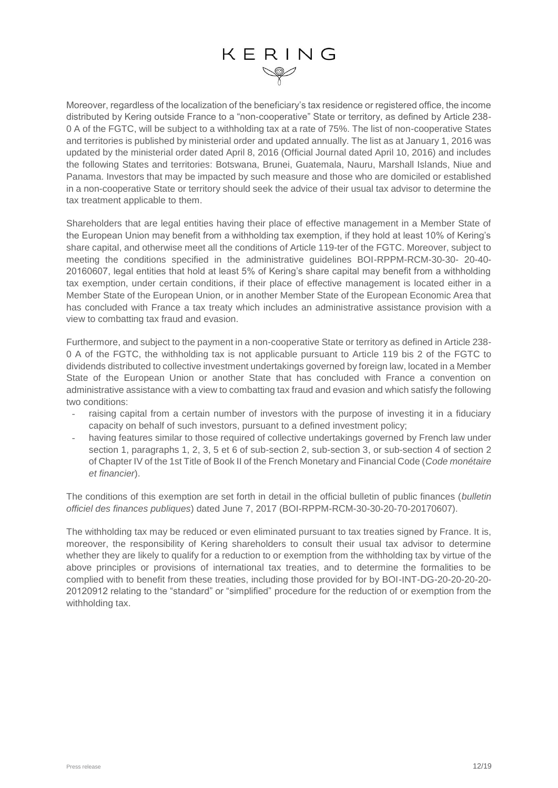Moreover, regardless of the localization of the beneficiary's tax residence or registered office, the income distributed by Kering outside France to a "non-cooperative" State or territory, as defined by Article 238- 0 A of the FGTC, will be subject to a withholding tax at a rate of 75%. The list of non-cooperative States and territories is published by ministerial order and updated annually. The list as at January 1, 2016 was updated by the ministerial order dated April 8, 2016 (Official Journal dated April 10, 2016) and includes the following States and territories: Botswana, Brunei, Guatemala, Nauru, Marshall Islands, Niue and Panama. Investors that may be impacted by such measure and those who are domiciled or established in a non-cooperative State or territory should seek the advice of their usual tax advisor to determine the tax treatment applicable to them.

Shareholders that are legal entities having their place of effective management in a Member State of the European Union may benefit from a withholding tax exemption, if they hold at least 10% of Kering's share capital, and otherwise meet all the conditions of Article 119-ter of the FGTC. Moreover, subject to meeting the conditions specified in the administrative guidelines BOI-RPPM-RCM-30-30- 20-40- 20160607, legal entities that hold at least 5% of Kering's share capital may benefit from a withholding tax exemption, under certain conditions, if their place of effective management is located either in a Member State of the European Union, or in another Member State of the European Economic Area that has concluded with France a tax treaty which includes an administrative assistance provision with a view to combatting tax fraud and evasion.

Furthermore, and subject to the payment in a non-cooperative State or territory as defined in Article 238- 0 A of the FGTC, the withholding tax is not applicable pursuant to Article 119 bis 2 of the FGTC to dividends distributed to collective investment undertakings governed by foreign law, located in a Member State of the European Union or another State that has concluded with France a convention on administrative assistance with a view to combatting tax fraud and evasion and which satisfy the following two conditions:

- raising capital from a certain number of investors with the purpose of investing it in a fiduciary capacity on behalf of such investors, pursuant to a defined investment policy;
- having features similar to those required of collective undertakings governed by French law under section 1, paragraphs 1, 2, 3, 5 et 6 of sub-section 2, sub-section 3, or sub-section 4 of section 2 of Chapter IV of the 1st Title of Book II of the French Monetary and Financial Code (*Code monétaire et financier*).

The conditions of this exemption are set forth in detail in the official bulletin of public finances (*bulletin officiel des finances publiques*) dated June 7, 2017 (BOI-RPPM-RCM-30-30-20-70-20170607).

The withholding tax may be reduced or even eliminated pursuant to tax treaties signed by France. It is, moreover, the responsibility of Kering shareholders to consult their usual tax advisor to determine whether they are likely to qualify for a reduction to or exemption from the withholding tax by virtue of the above principles or provisions of international tax treaties, and to determine the formalities to be complied with to benefit from these treaties, including those provided for by BOI-INT-DG-20-20-20-20- 20120912 relating to the "standard" or "simplified" procedure for the reduction of or exemption from the withholding tax.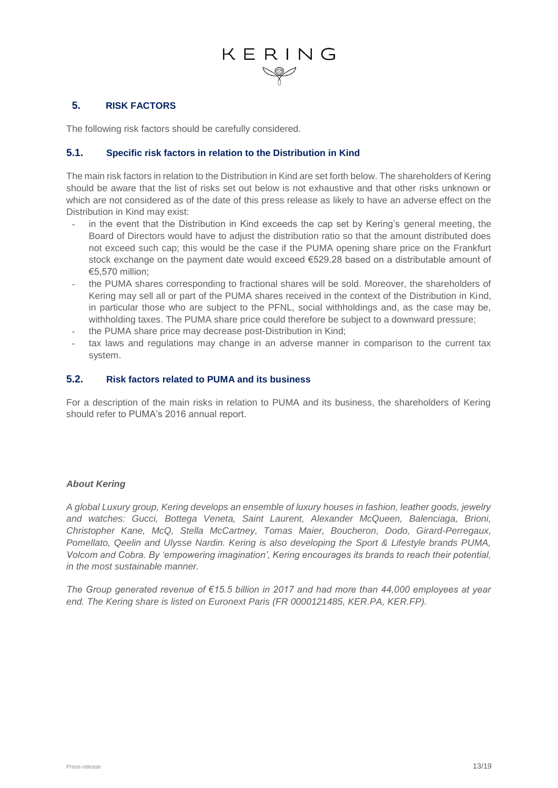#### **5. RISK FACTORS**

The following risk factors should be carefully considered.

#### **5.1. Specific risk factors in relation to the Distribution in Kind**

The main risk factors in relation to the Distribution in Kind are set forth below. The shareholders of Kering should be aware that the list of risks set out below is not exhaustive and that other risks unknown or which are not considered as of the date of this press release as likely to have an adverse effect on the Distribution in Kind may exist:

- in the event that the Distribution in Kind exceeds the cap set by Kering's general meeting, the Board of Directors would have to adjust the distribution ratio so that the amount distributed does not exceed such cap; this would be the case if the PUMA opening share price on the Frankfurt stock exchange on the payment date would exceed €529.28 based on a distributable amount of €5,570 million;
- the PUMA shares corresponding to fractional shares will be sold. Moreover, the shareholders of Kering may sell all or part of the PUMA shares received in the context of the Distribution in Kind, in particular those who are subject to the PFNL, social withholdings and, as the case may be, withholding taxes. The PUMA share price could therefore be subject to a downward pressure;
- the PUMA share price may decrease post-Distribution in Kind;
- tax laws and regulations may change in an adverse manner in comparison to the current tax system.

#### **5.2. Risk factors related to PUMA and its business**

For a description of the main risks in relation to PUMA and its business, the shareholders of Kering should refer to PUMA's 2016 annual report.

#### *About Kering*

*A global Luxury group, Kering develops an ensemble of luxury houses in fashion, leather goods, jewelry and watches: Gucci, Bottega Veneta, Saint Laurent, Alexander McQueen, Balenciaga, Brioni, Christopher Kane, McQ, Stella McCartney, Tomas Maier, Boucheron, Dodo, Girard-Perregaux, Pomellato, Qeelin and Ulysse Nardin. Kering is also developing the Sport & Lifestyle brands PUMA, Volcom and Cobra. By 'empowering imagination', Kering encourages its brands to reach their potential, in the most sustainable manner.*

*The Group generated revenue of €15.5 billion in 2017 and had more than 44,000 employees at year end. The Kering share is listed on Euronext Paris (FR 0000121485, KER.PA, KER.FP).*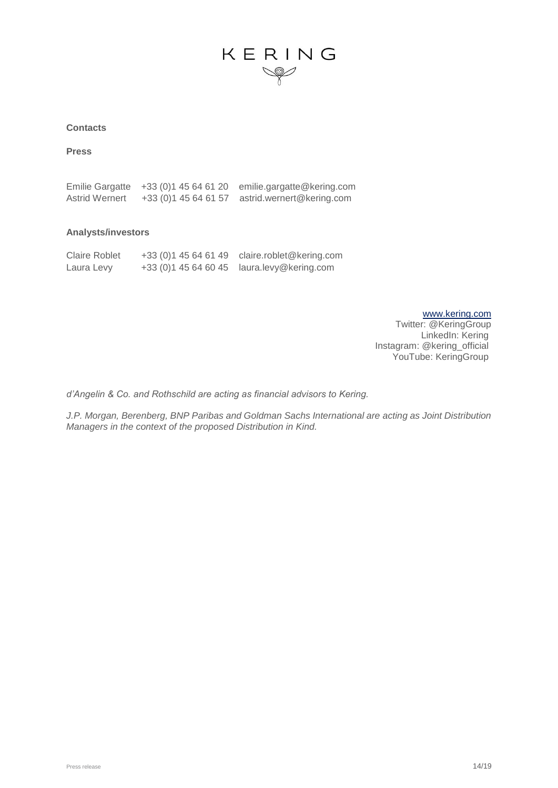#### **Contacts**

**Press**

Emilie Gargatte +33 (0)1 45 64 61 20 [emilie.gargatte@kering.com](mailto:emilie.gargatte@kering.com) Astrid Wernert +33 (0)1 45 64 61 57 [astrid.wernert@kering.com](mailto:astrid.wernert@kering.com)

#### **Analysts/investors**

| <b>Claire Roblet</b> | +33 (0) 1 45 64 61 49 | claire.roblet@kering.com |
|----------------------|-----------------------|--------------------------|
| Laura Levy           | +33 (0) 1 45 64 60 45 | laura.levy@kering.com    |

[www.kering.com](http://www.kering.com/) Twitter: @KeringGroup LinkedIn: Kering Instagram: @kering\_official YouTube: KeringGroup

*d'Angelin & Co. and Rothschild are acting as financial advisors to Kering.*

*J.P. Morgan, Berenberg, BNP Paribas and Goldman Sachs International are acting as Joint Distribution Managers in the context of the proposed Distribution in Kind.*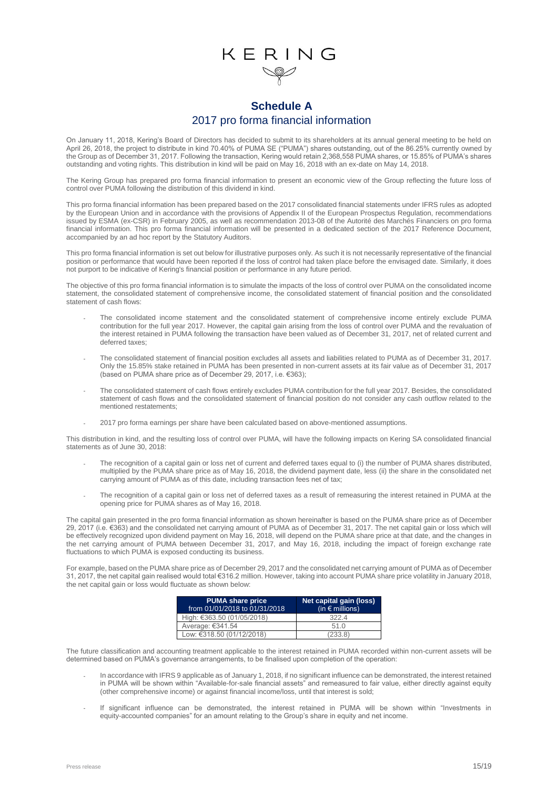#### **Schedule A** 2017 pro forma financial information

On January 11, 2018, Kering's Board of Directors has decided to submit to its shareholders at its annual general meeting to be held on April 26, 2018, the project to distribute in kind 70.40% of PUMA SE ("PUMA") shares outstanding, out of the 86.25% currently owned by the Group as of December 31, 2017. Following the transaction, Kering would retain 2,368,558 PUMA shares, or 15.85% of PUMA's shares outstanding and voting rights. This distribution in kind will be paid on May 16, 2018 with an ex-date on May 14, 2018.

The Kering Group has prepared pro forma financial information to present an economic view of the Group reflecting the future loss of control over PUMA following the distribution of this dividend in kind.

This pro forma financial information has been prepared based on the 2017 consolidated financial statements under IFRS rules as adopted by the European Union and in accordance with the provisions of Appendix II of the European Prospectus Regulation, recommendations issued by ESMA (ex-CSR) in February 2005, as well as recommendation 2013-08 of the Autorité des Marchés Financiers on pro forma financial information. This pro forma financial information will be presented in a dedicated section of the 2017 Reference Document, accompanied by an ad hoc report by the Statutory Auditors.

This pro forma financial information is set out below for illustrative purposes only. As such it is not necessarily representative of the financial position or performance that would have been reported if the loss of control had taken place before the envisaged date. Similarly, it does not purport to be indicative of Kering's financial position or performance in any future period.

The objective of this pro forma financial information is to simulate the impacts of the loss of control over PUMA on the consolidated income statement, the consolidated statement of comprehensive income, the consolidated statement of financial position and the consolidated statement of cash flows:

- The consolidated income statement and the consolidated statement of comprehensive income entirely exclude PUMA contribution for the full year 2017. However, the capital gain arising from the loss of control over PUMA and the revaluation of the interest retained in PUMA following the transaction have been valued as of December 31, 2017, net of related current and deferred taxes;
- The consolidated statement of financial position excludes all assets and liabilities related to PUMA as of December 31, 2017. Only the 15.85% stake retained in PUMA has been presented in non-current assets at its fair value as of December 31, 2017 (based on PUMA share price as of December 29, 2017, i.e. €363);
- The consolidated statement of cash flows entirely excludes PUMA contribution for the full year 2017. Besides, the consolidated statement of cash flows and the consolidated statement of financial position do not consider any cash outflow related to the mentioned restatements;
- 2017 pro forma earnings per share have been calculated based on above-mentioned assumptions.

This distribution in kind, and the resulting loss of control over PUMA, will have the following impacts on Kering SA consolidated financial statements as of June 30, 2018:

- The recognition of a capital gain or loss net of current and deferred taxes equal to (i) the number of PUMA shares distributed, multiplied by the PUMA share price as of May 16, 2018, the dividend payment date, less (ii) the share in the consolidated net carrying amount of PUMA as of this date, including transaction fees net of tax;
- The recognition of a capital gain or loss net of deferred taxes as a result of remeasuring the interest retained in PUMA at the opening price for PUMA shares as of May 16, 2018.

The capital gain presented in the pro forma financial information as shown hereinafter is based on the PUMA share price as of December 29, 2017 (i.e. €363) and the consolidated net carrying amount of PUMA as of December 31, 2017. The net capital gain or loss which will be effectively recognized upon dividend payment on May 16, 2018, will depend on the PUMA share price at that date, and the changes in the net carrying amount of PUMA between December 31, 2017, and May 16, 2018, including the impact of foreign exchange rate fluctuations to which PUMA is exposed conducting its business.

For example, based on the PUMA share price as of December 29, 2017 and the consolidated net carrying amount of PUMA as of December 31, 2017, the net capital gain realised would total €316.2 million. However, taking into account PUMA share price volatility in January 2018, the net capital gain or loss would fluctuate as shown below:

| <b>PUMA share price</b><br>from 01/01/2018 to 01/31/2018 | Net capital gain (loss)<br>(in $\epsilon$ millions) |
|----------------------------------------------------------|-----------------------------------------------------|
| High: €363.50 (01/05/2018)                               | 322.4                                               |
| Average: €341.54                                         | 51.0                                                |
| Low: €318.50 (01/12/2018)                                | (233.8)                                             |

The future classification and accounting treatment applicable to the interest retained in PUMA recorded within non-current assets will be determined based on PUMA's governance arrangements, to be finalised upon completion of the operation:

- In accordance with IFRS 9 applicable as of January 1, 2018, if no significant influence can be demonstrated, the interest retained in PUMA will be shown within "Available-for-sale financial assets" and remeasured to fair value, either directly against equity (other comprehensive income) or against financial income/loss, until that interest is sold;
- If significant influence can be demonstrated, the interest retained in PUMA will be shown within "Investments in equity-accounted companies" for an amount relating to the Group's share in equity and net income.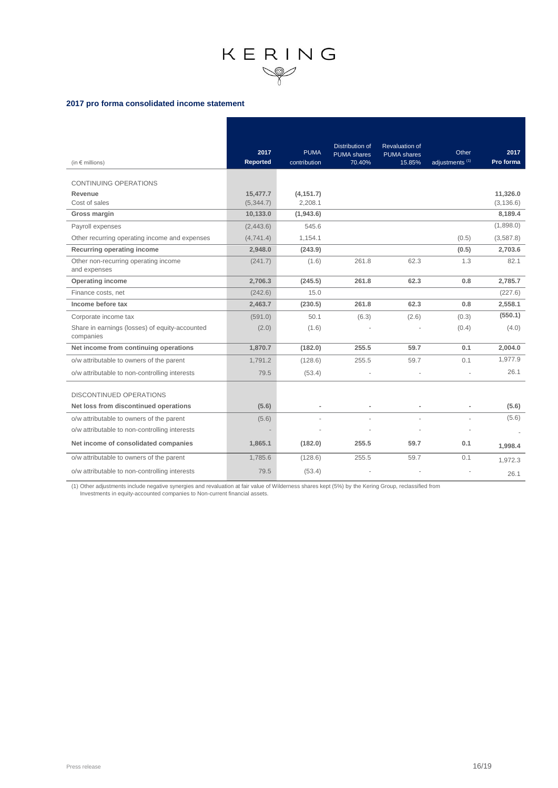#### **2017 pro forma consolidated income statement**

| (in $\epsilon$ millions)                                    | 2017<br>Reported       | <b>PUMA</b><br>contribution | <b>Distribution of</b><br><b>PUMA</b> shares<br>70.40% | <b>Revaluation of</b><br><b>PUMA</b> shares<br>15.85% | Other<br>adjustments <sup>(1)</sup> | 2017<br>Pro forma      |
|-------------------------------------------------------------|------------------------|-----------------------------|--------------------------------------------------------|-------------------------------------------------------|-------------------------------------|------------------------|
| <b>CONTINUING OPERATIONS</b>                                |                        |                             |                                                        |                                                       |                                     |                        |
| Revenue<br>Cost of sales                                    | 15,477.7<br>(5, 344.7) | (4, 151.7)<br>2,208.1       |                                                        |                                                       |                                     | 11.326.0<br>(3, 136.6) |
| Gross margin                                                | 10,133.0               | (1,943.6)                   |                                                        |                                                       |                                     | 8,189.4                |
| Payroll expenses                                            | (2,443.6)              | 545.6                       |                                                        |                                                       |                                     | (1,898.0)              |
| Other recurring operating income and expenses               | (4,741.4)              | 1,154.1                     |                                                        |                                                       | (0.5)                               | (3,587.8)              |
| Recurring operating income                                  | 2,948.0                | (243.9)                     |                                                        |                                                       | (0.5)                               | 2,703.6                |
| Other non-recurring operating income<br>and expenses        | (241.7)                | (1.6)                       | 261.8                                                  | 62.3                                                  | 1.3                                 | 82.1                   |
| <b>Operating income</b>                                     | 2,706.3                | (245.5)                     | 261.8                                                  | 62.3                                                  | 0.8                                 | 2,785.7                |
| Finance costs, net                                          | (242.6)                | 15.0                        |                                                        |                                                       |                                     | (227.6)                |
| Income before tax                                           | 2,463.7                | (230.5)                     | 261.8                                                  | 62.3                                                  | 0.8                                 | 2,558.1                |
| Corporate income tax                                        | (591.0)                | 50.1                        | (6.3)                                                  | (2.6)                                                 | (0.3)                               | (550.1)                |
| Share in earnings (losses) of equity-accounted<br>companies | (2.0)                  | (1.6)                       |                                                        |                                                       | (0.4)                               | (4.0)                  |
| Net income from continuing operations                       | 1,870.7                | (182.0)                     | 255.5                                                  | 59.7                                                  | 0.1                                 | 2.004.0                |
| o/w attributable to owners of the parent                    | 1,791.2                | (128.6)                     | 255.5                                                  | 59.7                                                  | 0.1                                 | 1,977.9                |
| o/w attributable to non-controlling interests               | 79.5                   | (53.4)                      |                                                        |                                                       |                                     | 26.1                   |
| <b>DISCONTINUED OPERATIONS</b>                              |                        |                             |                                                        |                                                       |                                     |                        |
| Net loss from discontinued operations                       | (5.6)                  | $\overline{a}$              |                                                        |                                                       |                                     | (5.6)                  |
| o/w attributable to owners of the parent                    | (5.6)                  |                             |                                                        |                                                       |                                     | (5.6)                  |
| o/w attributable to non-controlling interests               |                        |                             |                                                        |                                                       |                                     |                        |
| Net income of consolidated companies                        | 1,865.1                | (182.0)                     | 255.5                                                  | 59.7                                                  | 0.1                                 | 1,998.4                |
| o/w attributable to owners of the parent                    | 1,785.6                | (128.6)                     | 255.5                                                  | 59.7                                                  | 0.1                                 | 1,972.3                |
| o/w attributable to non-controlling interests               | 79.5                   | (53.4)                      |                                                        |                                                       |                                     | 26.1                   |

(1) Other adjustments include negative synergies and revaluation at fair value of Wilderness shares kept (5%) by the Kering Group, reclassified from Investments in equity-accounted companies to Non-current financial assets.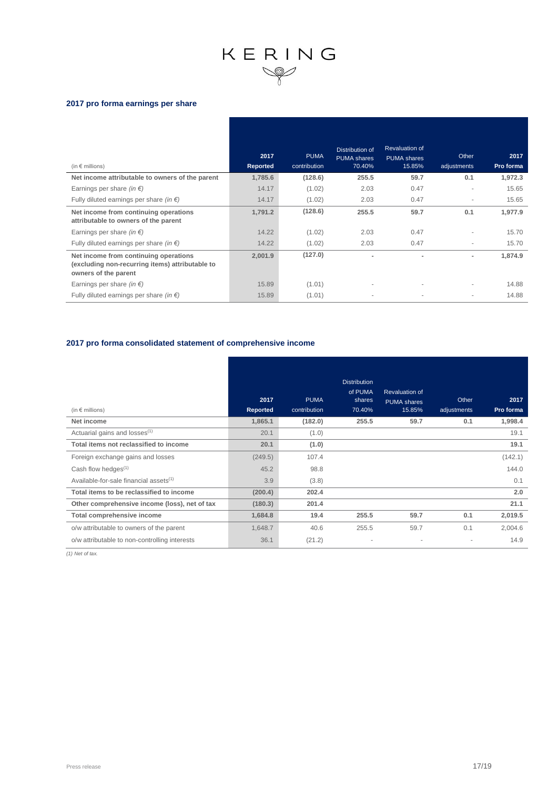#### **2017 pro forma earnings per share**

| (in $\epsilon$ millions)                                                                                         | 2017<br>Reported | <b>PUMA</b><br>contribution | Distribution of<br><b>PUMA</b> shares<br>70.40% | <b>Revaluation of</b><br><b>PUMA</b> shares<br>15.85% | Other<br>adjustments     | 2017<br>Pro forma |
|------------------------------------------------------------------------------------------------------------------|------------------|-----------------------------|-------------------------------------------------|-------------------------------------------------------|--------------------------|-------------------|
| Net income attributable to owners of the parent                                                                  | 1,785.6          | (128.6)                     | 255.5                                           | 59.7                                                  | 0.1                      | 1,972.3           |
| Earnings per share (in $\epsilon$ )                                                                              | 14.17            | (1.02)                      | 2.03                                            | 0.47                                                  |                          | 15.65             |
| Fully diluted earnings per share (in $\epsilon$ )                                                                | 14.17            | (1.02)                      | 2.03                                            | 0.47                                                  | ٠                        | 15.65             |
| Net income from continuing operations<br>attributable to owners of the parent                                    | 1.791.2          | (128.6)                     | 255.5                                           | 59.7                                                  | 0.1                      | 1,977.9           |
| Earnings per share (in $\epsilon$ )                                                                              | 14.22            | (1.02)                      | 2.03                                            | 0.47                                                  | ۰                        | 15.70             |
| Fully diluted earnings per share (in $\epsilon$ )                                                                | 14.22            | (1.02)                      | 2.03                                            | 0.47                                                  | ٠                        | 15.70             |
| Net income from continuing operations<br>(excluding non-recurring items) attributable to<br>owners of the parent | 2,001.9          | (127.0)                     |                                                 |                                                       | $\overline{\phantom{0}}$ | 1,874.9           |
| Earnings per share (in $\epsilon$ )                                                                              | 15.89            | (1.01)                      | $\overline{\phantom{a}}$                        |                                                       | ٠                        | 14.88             |
| Fully diluted earnings per share (in $\epsilon$ )                                                                | 15.89            | (1.01)                      |                                                 |                                                       | ۰                        | 14.88             |

#### **2017 pro forma consolidated statement of comprehensive income**

| (in $\epsilon$ millions)                           | 2017<br>Reported | <b>PUMA</b><br>contribution | <b>Distribution</b><br>of PUMA<br>shares<br>70.40% | <b>Revaluation of</b><br><b>PUMA</b> shares<br>15.85% | Other<br>adjustments | 2017<br>Pro forma |
|----------------------------------------------------|------------------|-----------------------------|----------------------------------------------------|-------------------------------------------------------|----------------------|-------------------|
| Net income                                         | 1,865.1          | (182.0)                     | 255.5                                              | 59.7                                                  | 0.1                  | 1,998.4           |
| Actuarial gains and losses <sup>(1)</sup>          | 20.1             | (1.0)                       |                                                    |                                                       |                      | 19.1              |
| Total items not reclassified to income             | 20.1             | (1.0)                       |                                                    |                                                       |                      | 19.1              |
| Foreign exchange gains and losses                  | (249.5)          | 107.4                       |                                                    |                                                       |                      | (142.1)           |
| Cash flow hedges $(1)$                             | 45.2             | 98.8                        |                                                    |                                                       |                      | 144.0             |
| Available-for-sale financial assets <sup>(1)</sup> | 3.9              | (3.8)                       |                                                    |                                                       |                      | 0.1               |
| Total items to be reclassified to income           | (200.4)          | 202.4                       |                                                    |                                                       |                      | 2.0               |
| Other comprehensive income (loss), net of tax      | (180.3)          | 201.4                       |                                                    |                                                       |                      | 21.1              |
| Total comprehensive income                         | 1,684.8          | 19.4                        | 255.5                                              | 59.7                                                  | 0.1                  | 2,019.5           |
| o/w attributable to owners of the parent           | 1,648.7          | 40.6                        | 255.5                                              | 59.7                                                  | 0.1                  | 2,004.6           |
| o/w attributable to non-controlling interests      | 36.1             | (21.2)                      | $\overline{\phantom{a}}$                           | ٠                                                     |                      | 14.9              |

*(1) Net of tax.*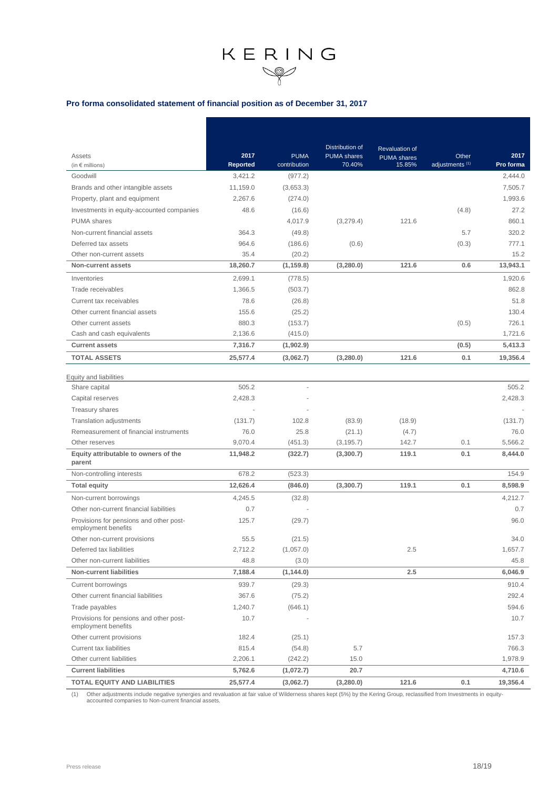#### **Pro forma consolidated statement of financial position as of December 31, 2017**

|                                                                |                 |              | <b>Distribution of</b> | <b>Revaluation of</b> |                            |           |
|----------------------------------------------------------------|-----------------|--------------|------------------------|-----------------------|----------------------------|-----------|
| Assets                                                         | 2017            | <b>PUMA</b>  | <b>PUMA</b> shares     | <b>PUMA</b> shares    | Other                      | 2017      |
| (in $\epsilon$ millions)                                       | <b>Reported</b> | contribution | 70.40%                 | 15.85%                | adjustments <sup>(1)</sup> | Pro forma |
| Goodwill                                                       | 3,421.2         | (977.2)      |                        |                       |                            | 2,444.0   |
| Brands and other intangible assets                             | 11,159.0        | (3,653.3)    |                        |                       |                            | 7,505.7   |
| Property, plant and equipment                                  | 2,267.6         | (274.0)      |                        |                       |                            | 1,993.6   |
| Investments in equity-accounted companies                      | 48.6            | (16.6)       |                        |                       | (4.8)                      | 27.2      |
| <b>PUMA</b> shares                                             |                 | 4,017.9      | (3,279.4)              | 121.6                 |                            | 860.1     |
| Non-current financial assets                                   | 364.3           | (49.8)       |                        |                       | 5.7                        | 320.2     |
| Deferred tax assets                                            | 964.6           | (186.6)      | (0.6)                  |                       | (0.3)                      | 777.1     |
| Other non-current assets                                       | 35.4            | (20.2)       |                        |                       |                            | 15.2      |
| Non-current assets                                             | 18,260.7        | (1, 159.8)   | (3, 280.0)             | 121.6                 | 0.6                        | 13,943.1  |
| Inventories                                                    | 2,699.1         | (778.5)      |                        |                       |                            | 1,920.6   |
| Trade receivables                                              | 1,366.5         | (503.7)      |                        |                       |                            | 862.8     |
| Current tax receivables                                        | 78.6            | (26.8)       |                        |                       |                            | 51.8      |
| Other current financial assets                                 | 155.6           | (25.2)       |                        |                       |                            | 130.4     |
| Other current assets                                           | 880.3           | (153.7)      |                        |                       | (0.5)                      | 726.1     |
| Cash and cash equivalents                                      | 2,136.6         | (415.0)      |                        |                       |                            | 1,721.6   |
| <b>Current assets</b>                                          | 7,316.7         | (1,902.9)    |                        |                       | (0.5)                      | 5,413.3   |
| <b>TOTAL ASSETS</b>                                            | 25,577.4        | (3,062.7)    | (3,280.0)              | 121.6                 | 0.1                        | 19,356.4  |
| Equity and liabilities                                         |                 |              |                        |                       |                            |           |
| Share capital                                                  | 505.2           |              |                        |                       |                            | 505.2     |
| Capital reserves                                               | 2,428.3         |              |                        |                       |                            | 2,428.3   |
| <b>Treasury shares</b>                                         |                 |              |                        |                       |                            |           |
| <b>Translation adjustments</b>                                 | (131.7)         | 102.8        | (83.9)                 | (18.9)                |                            | (131.7)   |
| Remeasurement of financial instruments                         | 76.0            | 25.8         | (21.1)                 | (4.7)                 |                            | 76.0      |
| Other reserves                                                 | 9,070.4         | (451.3)      | (3, 195.7)             | 142.7                 | 0.1                        | 5,566.2   |
| Equity attributable to owners of the<br>parent                 | 11,948.2        | (322.7)      | (3,300.7)              | 119.1                 | 0.1                        | 8,444.0   |
| Non-controlling interests                                      | 678.2           | (523.3)      |                        |                       |                            | 154.9     |
| <b>Total equity</b>                                            | 12,626.4        | (846.0)      | (3,300.7)              | 119.1                 | 0.1                        | 8,598.9   |
| Non-current borrowings                                         | 4.245.5         | (32.8)       |                        |                       |                            | 4,212.7   |
| Other non-current financial liabilities                        | 0.7             |              |                        |                       |                            | 0.7       |
| Provisions for pensions and other post-<br>employment benefits | 125.7           | (29.7)       |                        |                       |                            | 96.0      |
| Other non-current provisions                                   | 55.5            | (21.5)       |                        |                       |                            | 34.0      |
| Deferred tax liabilities                                       | 2,712.2         | (1,057.0)    |                        | 2.5                   |                            | 1,657.7   |
| Other non-current liabilities                                  | 48.8            | (3.0)        |                        |                       |                            | 45.8      |
| <b>Non-current liabilities</b>                                 | 7,188.4         | (1, 144.0)   |                        | 2.5                   |                            | 6,046.9   |
| Current borrowings                                             | 939.7           | (29.3)       |                        |                       |                            | 910.4     |
| Other current financial liabilities                            | 367.6           | (75.2)       |                        |                       |                            | 292.4     |
| Trade payables                                                 | 1,240.7         | (646.1)      |                        |                       |                            | 594.6     |
| Provisions for pensions and other post-<br>employment benefits | 10.7            |              |                        |                       |                            | 10.7      |
| Other current provisions                                       | 182.4           | (25.1)       |                        |                       |                            | 157.3     |
| <b>Current tax liabilities</b>                                 | 815.4           | (54.8)       | 5.7                    |                       |                            | 766.3     |
| Other current liabilities                                      | 2,206.1         | (242.2)      | 15.0                   |                       |                            | 1,978.9   |
| <b>Current liabilities</b>                                     | 5,762.6         | (1,072.7)    | 20.7                   |                       |                            | 4,710.6   |
| <b>TOTAL EQUITY AND LIABILITIES</b>                            | 25,577.4        | (3,062.7)    | (3,280.0)              | 121.6                 | 0.1                        | 19,356.4  |

(1) Other adjustments include negative synergies and revaluation at fair value of Wilderness shares kept (5%) by the Kering Group, reclassified from Investments in equity-accounted companies to Non-current financial assets.